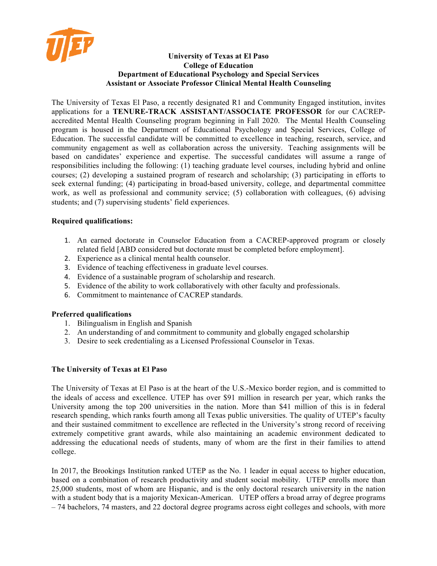

#### **University of Texas at El Paso College of Education Department of Educational Psychology and Special Services Assistant or Associate Professor Clinical Mental Health Counseling**

The University of Texas El Paso, a recently designated R1 and Community Engaged institution, invites applications for a **TENURE-TRACK ASSISTANT/ASSOCIATE PROFESSOR** for our CACREPaccredited Mental Health Counseling program beginning in Fall 2020. The Mental Health Counseling program is housed in the Department of Educational Psychology and Special Services, College of Education. The successful candidate will be committed to excellence in teaching, research, service, and community engagement as well as collaboration across the university. Teaching assignments will be based on candidates' experience and expertise. The successful candidates will assume a range of responsibilities including the following: (1) teaching graduate level courses, including hybrid and online courses; (2) developing a sustained program of research and scholarship; (3) participating in efforts to seek external funding; (4) participating in broad-based university, college, and departmental committee work, as well as professional and community service; (5) collaboration with colleagues, (6) advising students; and (7) supervising students' field experiences.

## **Required qualifications:**

- 1. An earned doctorate in Counselor Education from a CACREP-approved program or closely related field [ABD considered but doctorate must be completed before employment].
- 2. Experience as a clinical mental health counselor.
- 3. Evidence of teaching effectiveness in graduate level courses.
- 4. Evidence of a sustainable program of scholarship and research.
- 5. Evidence of the ability to work collaboratively with other faculty and professionals.
- 6. Commitment to maintenance of CACREP standards.

### **Preferred qualifications**

- 1. Bilingualism in English and Spanish
- 2. An understanding of and commitment to community and globally engaged scholarship
- 3. Desire to seek credentialing as a Licensed Professional Counselor in Texas.

### **The University of Texas at El Paso**

The University of Texas at El Paso is at the heart of the U.S.-Mexico border region, and is committed to the ideals of access and excellence. UTEP has over \$91 million in research per year, which ranks the University among the top 200 universities in the nation. More than \$41 million of this is in federal research spending, which ranks fourth among all Texas public universities. The quality of UTEP's faculty and their sustained commitment to excellence are reflected in the University's strong record of receiving extremely competitive grant awards, while also maintaining an academic environment dedicated to addressing the educational needs of students, many of whom are the first in their families to attend college.

In 2017, the Brookings Institution ranked UTEP as the No. 1 leader in equal access to higher education, based on a combination of research productivity and student social mobility. UTEP enrolls more than 25,000 students, most of whom are Hispanic, and is the only doctoral research university in the nation with a student body that is a majority Mexican-American. UTEP offers a broad array of degree programs – 74 bachelors, 74 masters, and 22 doctoral degree programs across eight colleges and schools, with more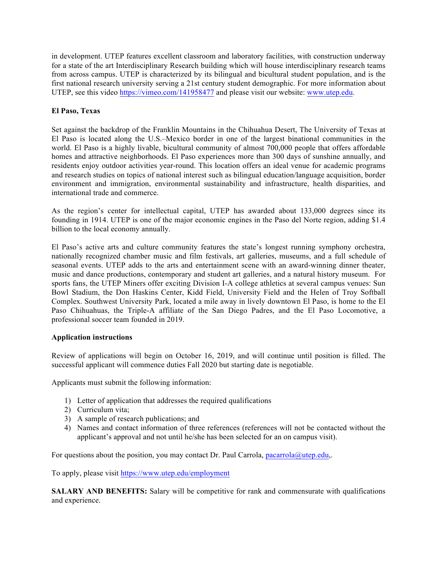in development. UTEP features excellent classroom and laboratory facilities, with construction underway for a state of the art Interdisciplinary Research building which will house interdisciplinary research teams from across campus. UTEP is characterized by its bilingual and bicultural student population, and is the first national research university serving a 21st century student demographic. For more information about UTEP, see this video https://vimeo.com/141958477 and please visit our website: www.utep.edu.

# **El Paso, Texas**

Set against the backdrop of the Franklin Mountains in the Chihuahua Desert, The University of Texas at El Paso is located along the U.S.–Mexico border in one of the largest binational communities in the world. El Paso is a highly livable, bicultural community of almost 700,000 people that offers affordable homes and attractive neighborhoods. El Paso experiences more than 300 days of sunshine annually, and residents enjoy outdoor activities year-round. This location offers an ideal venue for academic programs and research studies on topics of national interest such as bilingual education/language acquisition, border environment and immigration, environmental sustainability and infrastructure, health disparities, and international trade and commerce.

As the region's center for intellectual capital, UTEP has awarded about 133,000 degrees since its founding in 1914. UTEP is one of the major economic engines in the Paso del Norte region, adding \$1.4 billion to the local economy annually.

El Paso's active arts and culture community features the state's longest running symphony orchestra, nationally recognized chamber music and film festivals, art galleries, museums, and a full schedule of seasonal events. UTEP adds to the arts and entertainment scene with an award-winning dinner theater, music and dance productions, contemporary and student art galleries, and a natural history museum. For sports fans, the UTEP Miners offer exciting Division I-A college athletics at several campus venues: Sun Bowl Stadium, the Don Haskins Center, Kidd Field, University Field and the Helen of Troy Softball Complex. Southwest University Park, located a mile away in lively downtown El Paso, is home to the El Paso Chihuahuas, the Triple-A affiliate of the San Diego Padres, and the El Paso Locomotive, a professional soccer team founded in 2019.

### **Application instructions**

Review of applications will begin on October 16, 2019, and will continue until position is filled. The successful applicant will commence duties Fall 2020 but starting date is negotiable.

Applicants must submit the following information:

- 1) Letter of application that addresses the required qualifications
- 2) Curriculum vita;
- 3) A sample of research publications; and
- 4) Names and contact information of three references (references will not be contacted without the applicant's approval and not until he/she has been selected for an on campus visit).

For questions about the position, you may contact Dr. Paul Carrola, pacarrola@utep.edu,.

To apply, please visit https://www.utep.edu/employment

**SALARY AND BENEFITS:** Salary will be competitive for rank and commensurate with qualifications and experience.